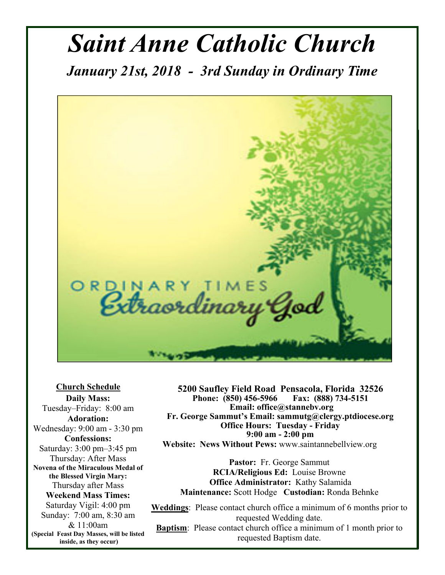# *Saint Anne Catholic Church*

*January 21st, 2018 - 3rd Sunday in Ordinary Time* 



**Church Schedule Daily Mass:**  Tuesday–Friday: 8:00 am **Adoration:**  Wednesday: 9:00 am - 3:30 pm **Confessions:**  Saturday: 3:00 pm–3:45 pm Thursday: After Mass **Novena of the Miraculous Medal of the Blessed Virgin Mary:**  Thursday after Mass **Weekend Mass Times:**  Saturday Vigil: 4:00 pm Sunday: 7:00 am, 8:30 am & 11:00am **(Special Feast Day Masses, will be listed inside, as they occur)**

**5200 Saufley Field Road Pensacola, Florida 32526 Phone:** (850) 456-5966  **Email: office@stannebv.org Fr. George Sammut's Email: sammutg@clergy.ptdiocese.org Office Hours: Tuesday - Friday 9:00 am - 2:00 pm Website: News Without Pews:** www.saintannebellview.org

**Pastor:** Fr. George Sammut **RCIA/Religious Ed:** Louise Browne **Office Administrator:** Kathy Salamida **Maintenance:** Scott Hodge **Custodian:** Ronda Behnke

**Weddings**: Please contact church office a minimum of 6 months prior to requested Wedding date. **Baptism**: Please contact church office a minimum of 1 month prior to requested Baptism date.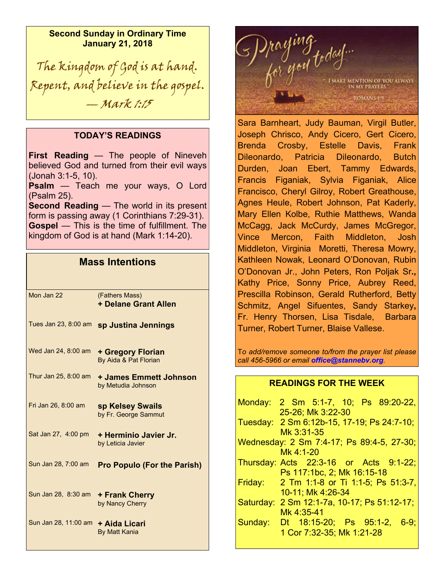**Second Sunday in Ordinary Time January 21, 2018** 

The kingdom of God is at hand. Repent, and believe in the gospel. — Mark 1:15

#### **TODAY'S READINGS**

**First Reading** — The people of Nineveh believed God and turned from their evil ways (Jonah 3:1-5, 10).

**Psalm** — Teach me your ways, O Lord (Psalm 25).

**Second Reading** — The world in its present form is passing away (1 Corinthians 7:29-31). **Gospel** — This is the time of fulfillment. The kingdom of God is at hand (Mark 1:14-20).

### **Mass Intentions**

| Mon Jan 22           | (Fathers Mass)<br><b>+ Delane Grant Allen</b> |
|----------------------|-----------------------------------------------|
| Tues Jan 23, 8:00 am | sp Justina Jennings                           |
| Wed Jan 24, 8:00 am  | + Gregory Florian<br>By Aida & Pat Florian    |
| Thur Jan 25, 8:00 am | + James Emmett Johnson<br>by Metudia Johnson  |
| Fri Jan 26, 8:00 am  | sp Kelsey Swails<br>by Fr. George Sammut      |
| Sat Jan 27, 4:00 pm  | + Herminio Javier Jr.<br>by Leticia Javier    |
| Sun Jan 28, 7:00 am  | <b>Pro Populo (For the Parish)</b>            |
| Sun Jan 28, 8:30 am  | + Frank Cherry<br>by Nancy Cherry             |
| Sun Jan 28, 11:00 am | + Aida Licari<br><b>By Matt Kania</b>         |



Sara Barnheart, Judy Bauman, Virgil Butler, Joseph Chrisco, Andy Cicero, Gert Cicero, Brenda Crosby, Estelle Davis, Frank Dileonardo, Patricia Dileonardo, Butch Durden, Joan Ebert, Tammy Edwards, Francis Figaniak, Sylvia Figaniak, Alice Francisco, Cheryl Gilroy, Robert Greathouse, Agnes Heule, Robert Johnson, Pat Kaderly, Mary Ellen Kolbe, Ruthie Matthews, Wanda McCagg, Jack McCurdy, James McGregor, Vince Mercon, Faith Middleton, Josh Middleton, Virginia Moretti, Theresa Mowry, Kathleen Nowak, Leonard O'Donovan, Rubin O'Donovan Jr., John Peters, Ron Poljak Sr**.,**  Kathy Price, Sonny Price, Aubrey Reed, Prescilla Robinson, Gerald Rutherford, Betty Schmitz, Angel Sifuentes, Sandy Starkey**,** Fr. Henry Thorsen, Lisa Tisdale, Barbara Turner, Robert Turner, Blaise Vallese.

T*o add/remove someone to/from the prayer list please call 456-5966 or email office@stannebv.org.* 

#### **READINGS FOR THE WEEK**

|         | Monday: 2 Sm 5:1-7, 10; Ps 89:20-22,        |
|---------|---------------------------------------------|
|         | 25-26; Mk 3:22-30                           |
|         | Tuesday: 2 Sm 6:12b-15, 17-19; Ps 24:7-10;  |
|         | Mk 3:31-35                                  |
|         | Wednesday: 2 Sm 7:4-17; Ps 89:4-5, 27-30;   |
|         | Mk 4:1-20                                   |
|         | Thursday: Acts 22:3-16 or Acts 9:1-22;      |
|         | Ps 117:1bc, 2; Mk 16:15-18                  |
|         | Friday: 2 Tm 1:1-8 or Ti 1:1-5; Ps 51:3-7,  |
|         | 10-11; Mk 4:26-34                           |
|         | Saturday: 2 Sm 12:1-7a, 10-17; Ps 51:12-17; |
|         | Mk 4:35-41                                  |
| Sunday: | Dt 18:15-20; Ps 95:1-2, 6-9;                |
|         | 1 Cor 7:32-35; Mk 1:21-28                   |
|         |                                             |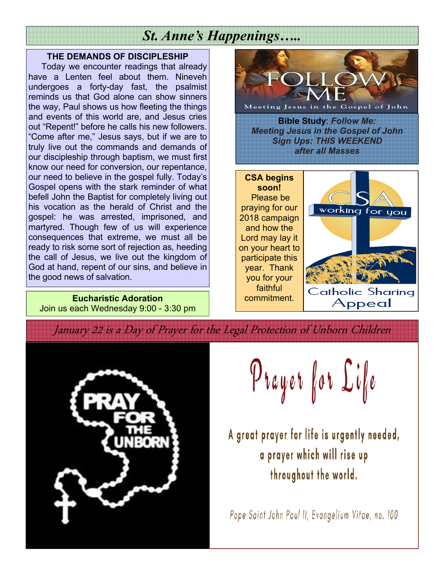### *St. Anne's Happenings…..*

#### **THE DEMANDS OF DISCIPLESHIP**

 Today we encounter readings that already have a Lenten feel about them. Nineveh undergoes a forty-day fast, the psalmist reminds us that God alone can show sinners the way, Paul shows us how fleeting the things and events of this world are, and Jesus cries out "Repent!" before he calls his new followers. "Come after me," Jesus says, but if we are to truly live out the commands and demands of our discipleship through baptism, we must first know our need for conversion, our repentance, our need to believe in the gospel fully. Today's Gospel opens with the stark reminder of what befell John the Baptist for completely living out his vocation as the herald of Christ and the gospel: he was arrested, imprisoned, and martyred. Though few of us will experience consequences that extreme, we must all be ready to risk some sort of rejection as, heeding the call of Jesus, we live out the kingdom of God at hand, repent of our sins, and believe in the good news of salvation.

**Eucharistic Adoration**  Join us each Wednesday 9:00 - 3:30 pm



January 22 is a Day of Prayer for the Legal Protection of Unborn Children



Prayer for Life

A great prayer for life is urgently needed, a prayer which will rise up throughout the world.

Pope Saint John Paul II, Evangelium Vitae, no. 100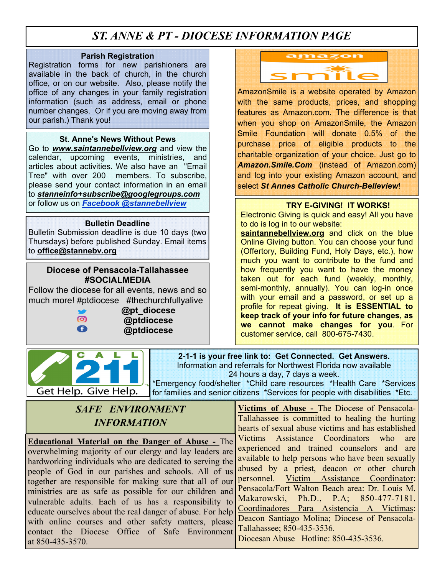### *ST. ANNE & PT - DIOCESE INFORMATION PAGE*

#### **Parish Registration**

Registration forms for new parishioners are available in the back of church, in the church office, or on our website. Also, please notify the office of any changes in your family registration information (such as address, email or phone number changes. Or if you are moving away from our parish.) Thank you!

#### **St. Anne's News Without Pews**

Go to *www.saintannebellview.org* and view the calendar, upcoming events, ministries, and articles about activities. We also have an "Email Tree" with over 200 members. To subscribe, please send your contact information in an email to *stanneinfo+subscribe@googlegroups.com* or follow us on *Facebook @stannebellview* **TRY E-GIVING! IT WORKS!** 

#### **Bulletin Deadline**

Bulletin Submission deadline is due 10 days (two Thursdays) before published Sunday. Email items to **office@stannebv.org** 

#### **Diocese of Pensacola-Tallahassee #SOCIALMEDIA**

Follow the diocese for all events, news and so much more! #ptdiocese #thechurchfullyalive

**AL** 



C

Get Help. Give Help.

**a**pt\_diocese  **@ptdiocese @ptdiocese** 



AmazonSmile is a website operated by Amazon with the same products, prices, and shopping features as Amazon.com. The difference is that when you shop on AmazonSmile, the Amazon Smile Foundation will donate 0.5% of the purchase price of eligible products to the charitable organization of your choice. Just go to *Amazon.Smile.Com* (instead of Amazon.com) and log into your existing Amazon account, and select *St Annes Catholic Church-Belleview*!

Electronic Giving is quick and easy! All you have to do is log in to our website:

saintannebellview.org and click on the blue Online Giving button. You can choose your fund (Offertory, Building Fund, Holy Days, etc.), how much you want to contribute to the fund and how frequently you want to have the money taken out for each fund (weekly, monthly, semi-monthly, annually). You can log-in once with your email and a password, or set up a profile for repeat giving. **It is ESSENTIAL to keep track of your info for future changes, as we cannot make changes for you**. For customer service, call 800-675-7430.

**2-1-1 is your free link to: Get Connected. Get Answers.**  Information and referrals for Northwest Florida now available 24 hours a day, 7 days a week.

\*Emergency food/shelter \*Child care resources \*Health Care \*Services for families and senior citizens \*Services for people with disabilities \*Etc.

### *SAFE ENVIRONMENT INFORMATION*

**Educational Material on the Danger of Abuse -** The overwhelming majority of our clergy and lay leaders are hardworking individuals who are dedicated to serving the people of God in our parishes and schools. All of us together are responsible for making sure that all of our ministries are as safe as possible for our children and vulnerable adults. Each of us has a responsibility to educate ourselves about the real danger of abuse. For help with online courses and other safety matters, please contact the Diocese Office of Safe Environment at 850-435-3570.

**Victims of Abuse -** The Diocese of Pensacola-Tallahassee is committed to healing the hurting hearts of sexual abuse victims and has established Victims Assistance Coordinators who are experienced and trained counselors and are available to help persons who have been sexually abused by a priest, deacon or other church personnel. Victim Assistance Coordinator: Pensacola/Fort Walton Beach area: Dr. Louis M. Makarowski, Ph.D., P.A; 850-477-7181. Coordinadores Para Asistencia A Victimas: Deacon Santiago Molina; Diocese of Pensacola-Tallahassee; 850-435-3536. Diocesan Abuse Hotline: 850-435-3536.